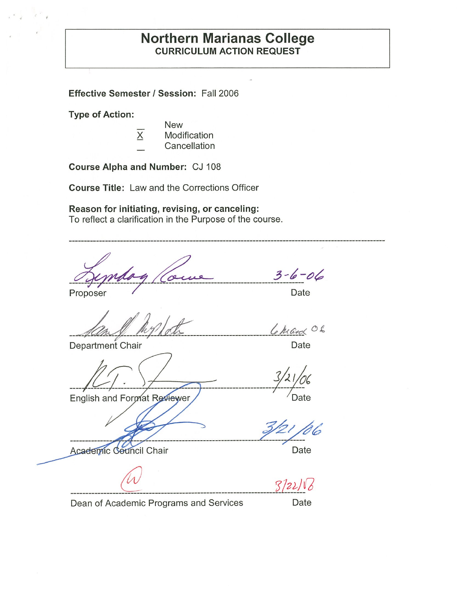### **Northern Marianas College CURRICULUM ACTION REQUEST**

**Effective Semester/ Session:** Fall 2006

**Type of Action:** 

New X Modification Cancellation

**Course Alpha and Number:** CJ 108

**Course Title:** Law and the Corrections Officer

**Reason for initiating, revising, or canceling:**  To reflect a clarification in the Purpose of the course.

 $3 - 6 - 06$ 

Proposer

fand hylet Chand 06

Department Chair **Department** Chair

English and Format Reviewer

Date

 $\frac{3}{21}$ --- **\_\_\_\_\_\_\_\_\_\_\_\_\_\_\_\_\_\_\_\_\_\_\_\_\_\_\_\_\_\_\_\_\_\_\_\_\_\_ Z..-::--/\_'::** ~

Date

Academic Council Chair

 $3/22/10$ ----------------*(fj\_ 'J/i2,){2* 

Dean of Academic Programs and Services Date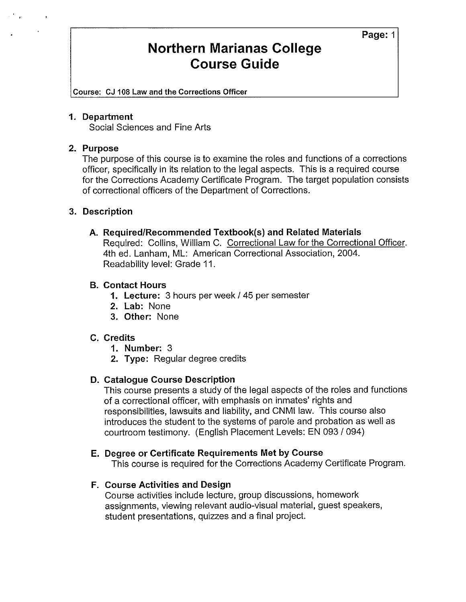# **Northern Marianas College Course Guide**

Course: CJ 108 Law and the Corrections Officer

#### **1. Department**

Social Sciences and Fine Arts

### **2. Purpose**

The purpose of this course is to examine the roles and functions of a corrections officer, specifically in its relation to the legal aspects. This is a required course for the Corrections Academy Certificate Program. The target population consists of correctional officers of the Department of Corrections.

### **3. Description**

#### **A. Required/Recommended Textbook(s) and Related Materials**

Required: Collins, William C. Correctional Law for the Correctional Officer. 4th ed. Lanham, ML: American Correctional Association, 2004. Readability level: Grade 11.

### **B. Contact Hours**

- **1. Lecture:** 3 hours per week / 45 per semester
- **2. Lab:** None
- **3. Other:** None

### **C. Credits**

- **1. Number:** 3
- **2. Type:** Regular degree credits

### **D. Catalogue Course Description**

This course presents a study of the legal aspects of the roles and functions of a correctional officer, with emphasis on inmates' rights and responsibilities, lawsuits and liability, and CNMI law. This course also introduces the student to the systems of parole and probation as well as courtroom testimony. (English Placement Levels: EN 093 / 094)

### **E. Degree or Certificate Requirements Met by Course**

This course is required for the Corrections Academy Certificate Program.

### **F. Course Activities and Design**

Course activities include lecture, group discussions, homework assignments, viewing relevant audio-visual material, guest speakers, student presentations, quizzes and a final project.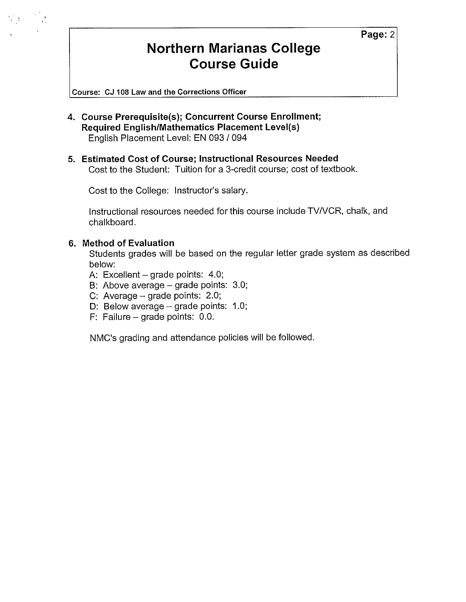# **Northern Marianas College Course Guide**

Course: CJ 108 Law and the Corrections Officer

- **4. Course Prerequisite(s); Concurrent Course Enrollment; Required English/Mathematics Placement Level(s)**  English Placement Level: EN 093 / 094
- **5. Estimated Cost of Course; Instructional Resources Needed**  Cost to the Student: Tuition for a 3-credit course; cost of textbook.

Cost to the College: Instructor's salary.

Instructional resources needed for this course include TV/VCR, chalk, and chalkboard.

### **6. Method of Evaluation**

Students grades will be based on the regular letter grade system as described below:

- A: Excellent  $-$  grade points: 4.0;
- B: Above average  $-$  grade points: 3.0;
- C: Average  $-$  grade points: 2.0;
- D: Below average  $-$  grade points: 1.0;
- F: Failure  $-$  grade points: 0.0.

NMC's grading and attendance policies will be followed.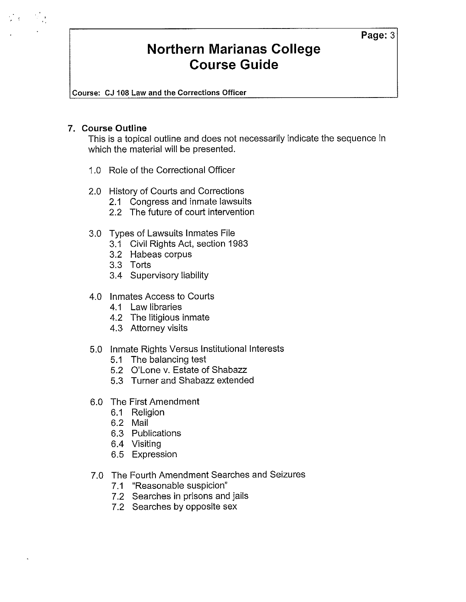## **Northern Marianas College Course Guide**

Course: CJ 108 Law and the Corrections Officer

#### **7. Course Outline**

This is a topical outline and does not necessarily indicate the sequence in which the material will be presented.

- 1.0 Role of the Correctional Officer
- 2.0 History of Courts and Corrections
	- 2.1 Congress and inmate lawsuits
	- 2.2 The future of court intervention
- 3.0 Types of Lawsuits Inmates File
	- 3.1 Civil Rights Act, section 1983
	- 3.2 Habeas corpus
	- 3.3 Torts
	- 3.4 Supervisory liability
- 4.0 Inmates Access to Courts
	- 4.1 Law libraries
	- 4.2 The litigious inmate
	- 4.3 Attorney visits

### 5.0 Inmate Rights Versus Institutional Interests

- 5.1 The balancing test
- 5.2 O'Lone v. Estate of Shabazz
- 5.3 Turner and Shabazz extended
- 6.0 The First Amendment
	- 6.1 Religion
	- 6.2 Mail
	- 6.3 Publications
	- 6.4 Visiting
	- 6.5 Expression
- 7.0 The Fourth Amendment Searches and Seizures
	- 7.1 "Reasonable suspicion"
	- 7.2 Searches in prisons and jails
	- 7.2 Searches by opposite sex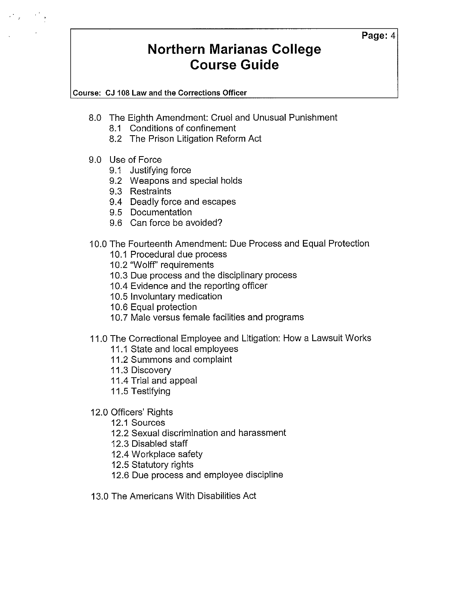## **Northern Marianas College Course Guide**

Course: CJ 108 Law and the Corrections Officer

- 8.0 The Eighth Amendment: Cruel and Unusual Punishment
	- 8.1 Conditions of confinement
	- 8.2 The Prison Litigation Reform Act
- 9.0 Use of Force
	- 9.1 Justifying force
	- 9.2 Weapons and special holds
	- 9.3 Restraints
	- 9.4 Deadly force and escapes
	- 9.5 Documentation
	- 9.6 Can force be avoided?
- 10.0 The Fourteenth Amendment: Due Process and Equal Protection
	- 10.1 Procedural due process
	- 10.2 "Wolff' requirements
	- 10.3 Due process and the disciplinary process
	- 10.4 Evidence and the reporting officer
	- 10.5 Involuntary medication
	- 10.6 Equal protection
	- 10.7 Male versus female facilities and programs
- 11.0 The Correctional Employee and Litigation: How a Lawsuit Works
	- 11.1 State and local employees
	- 11.2 Summons and complaint
	- 11.3 Discovery
	- 11.4 Trial and appeal
	- 11.5 Testifying

12.0 Officers' Rights

- 12.1 Sources
- 12.2 Sexual discrimination and harassment
- 12.3 Disabled staff
- 12.4 Workplace safety
- 12.5 Statutory rights
- 12.6 Due process and employee discipline
- 13.0 The Americans With Disabilities Act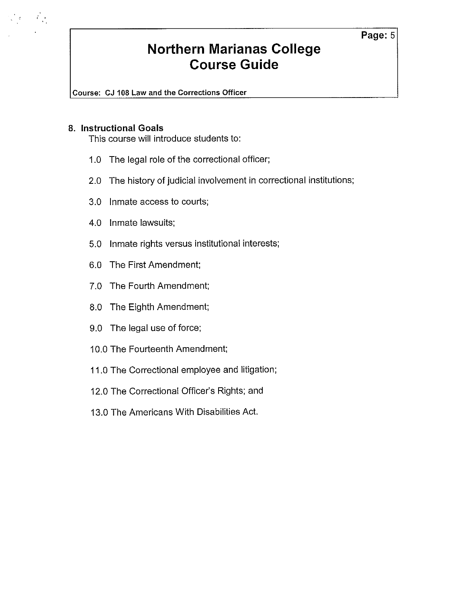# **Northern Marianas College Course Guide**

Course: CJ 108 Law and the Corrections Officer

#### **8. Instructional Goals**

 $\label{eq:2.1} \frac{1}{\sqrt{2}}\int_{0}^{\sqrt{2}}\frac{dx}{\sqrt{2}}\,dx = \frac{1}{2}\int_{0}^{\sqrt{2}}\frac{dx}{\sqrt{2}}\,dx$ 

This course will introduce students to:

- 1.0 The legal role of the correctional officer;
- 2.0 The history of judicial involvement in correctional institutions;
- 3.0 Inmate access to courts;
- 4.0 Inmate lawsuits;
- 5.0 Inmate rights versus institutional interests;
- 6.0 The First Amendment;
- 7.0 The Fourth Amendment;
- 8.0 The Eighth Amendment;
- 9.0 The legal use of force;
- 10.0 The Fourteenth Amendment;
- 11.0 The Correctional employee and litigation;
- 12.0 The Correctional Officer's Rights; and
- 13.0 The Americans With Disabilities Act.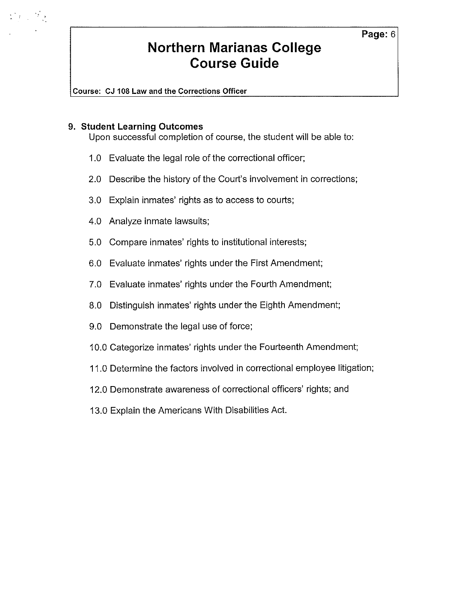# **Northern Marianas College Course Guide**

Course: CJ 108 Law and the Corrections Officer

#### **9. Student Learning Outcomes**

 $\label{eq:2.1} \frac{1}{2\pi}\left(\frac{1}{2}\right)^2\left(\frac{1}{2}\right)^2\left(\frac{1}{2}\right)^2$ 

Upon successful completion of course, the student will be able to:

- 1.0 Evaluate the legal role of the correctional officer;
- 2.0 Describe the history of the Court's involvement in corrections;
- 3.0 Explain inmates' rights as to access to courts;
- 4.0 Analyze inmate lawsuits;
- 5.0 Compare inmates' rights to institutional interests;
- 6.0 Evaluate inmates' rights under the First Amendment;
- 7.0 Evaluate inmates' rights under the Fourth Amendment;
- 8.0 Distinguish inmates' rights under the Eighth Amendment;
- 9.0 Demonstrate the legal use of force;
- 10.0 Categorize inmates' rights under the Fourteenth Amendment;
- 11.0 Determine the factors involved in correctional employee litigation;
- 12.0 Demonstrate awareness of correctional officers' rights; and
- 13.0 Explain the Americans With Disabilities Act.